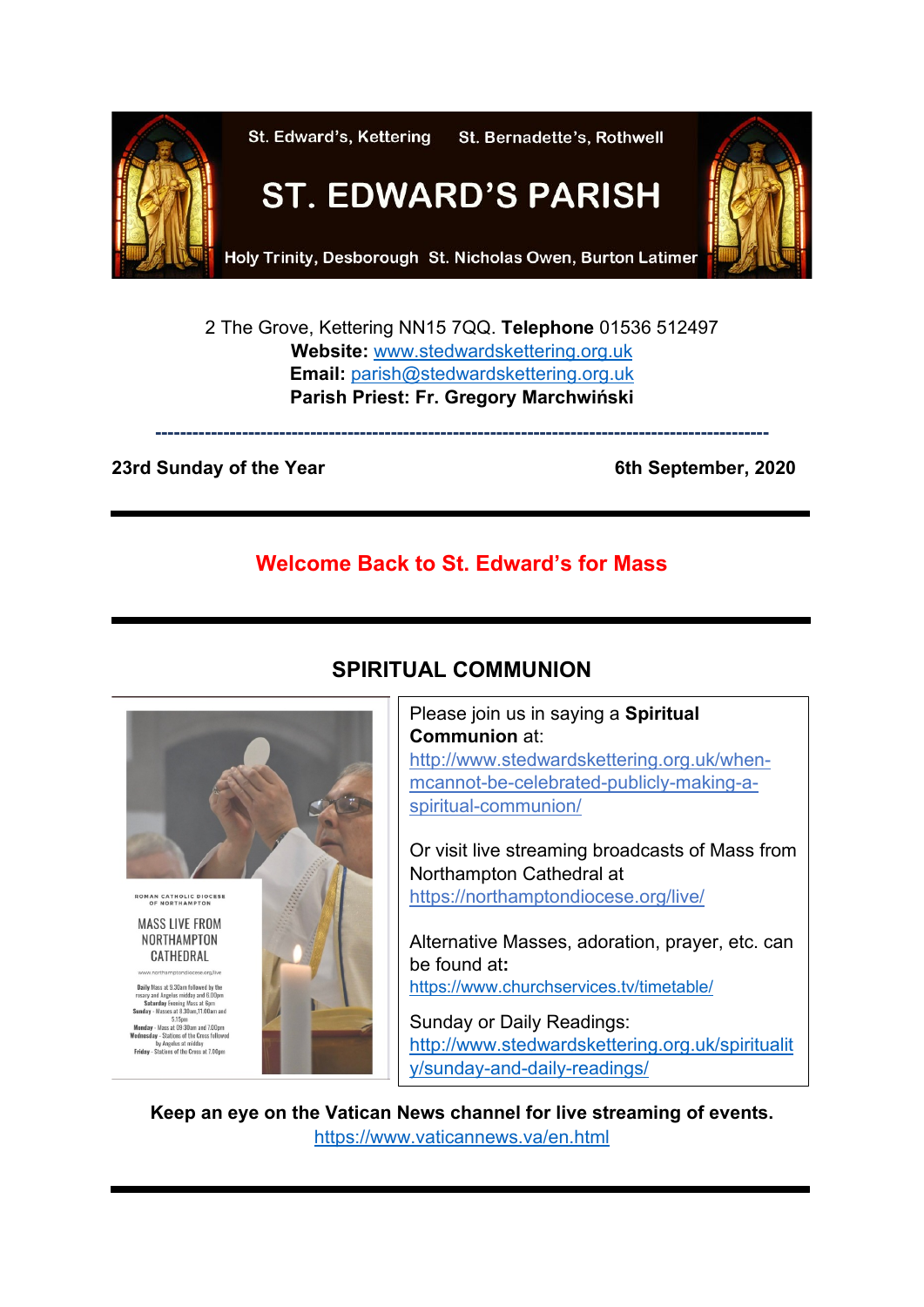

2 The Grove, Kettering NN15 7QQ. **Telephone** 01536 512497 **Website:** [www.stedwardskettering.org.uk](http://www.stedwardskettering.org.uk/) **Email:** [parish@stedwardskettering.org.uk](mailto:parish@stedwardskettering.org.uk) **Parish Priest: Fr. Gregory Marchwiński**

**---------------------------------------------------------------------------------------------------**

### **23rd Sunday of the Year 6th September, 2020**

# **Welcome Back to St. Edward's for Mass**

# **SPIRITUAL COMMUNION**



Please join us in saying a **Spiritual Communion** at: [http://www.stedwardskettering.org.uk/when](http://www.stedwardskettering.org.uk/when-mass-cannot-be-celebrated-publicly-making-a-spiritual-communion/)[mcannot-be-celebrated-publicly-making-a](http://www.stedwardskettering.org.uk/when-mass-cannot-be-celebrated-publicly-making-a-spiritual-communion/)[spiritual-communion/](http://www.stedwardskettering.org.uk/when-mass-cannot-be-celebrated-publicly-making-a-spiritual-communion/)

Or visit live streaming broadcasts of Mass from Northampton Cathedral at <https://northamptondiocese.org/live/>

Alternative Masses, adoration, prayer, etc. can be found at**:**  <https://www.churchservices.tv/timetable/>

Sunday or Daily Readings: [http://www.stedwardskettering.org.uk/spiritualit](http://www.stedwardskettering.org.uk/spirituality/sunday-and-daily-readings/) [y/sunday-and-daily-readings/](http://www.stedwardskettering.org.uk/spirituality/sunday-and-daily-readings/)

**Keep an eye on the Vatican News channel for live streaming of events.** <https://www.vaticannews.va/en.html>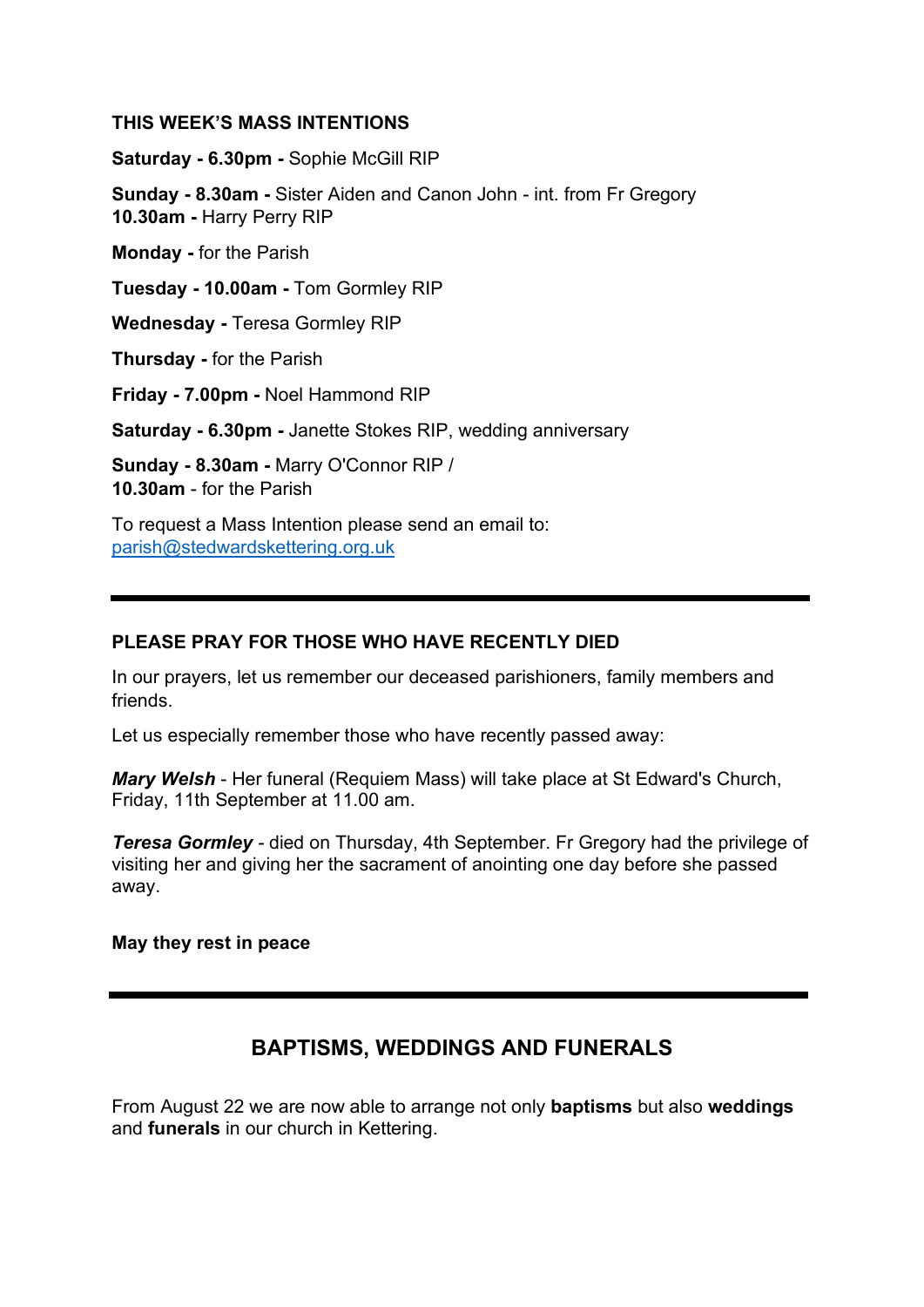#### **THIS WEEK'S MASS INTENTIONS**

**Saturday - 6.30pm -** Sophie McGill RIP

**Sunday - 8.30am -** Sister Aiden and Canon John - int. from Fr Gregory **10.30am -** Harry Perry RIP

**Monday -** for the Parish

**Tuesday - 10.00am -** Tom Gormley RIP

**Wednesday -** Teresa Gormley RIP

**Thursday -** for the Parish

**Friday - 7.00pm -** Noel Hammond RIP

**Saturday - 6.30pm -** Janette Stokes RIP, wedding anniversary

**Sunday - 8.30am -** Marry O'Connor RIP / **10.30am** - for the Parish

To request a Mass Intention please send an email to: [parish@stedwardskettering.org.uk](mailto:parish@stedwardskettering.org.uk)

### **PLEASE PRAY FOR THOSE WHO HAVE RECENTLY DIED**

In our prayers, let us remember our deceased parishioners, family members and friends.

Let us especially remember those who have recently passed away:

*Mary Welsh* - Her funeral (Requiem Mass) will take place at St Edward's Church, Friday, 11th September at 11.00 am.

*Teresa Gormley -* died on Thursday, 4th September. Fr Gregory had the privilege of visiting her and giving her the sacrament of anointing one day before she passed away.

**May they rest in peace**

## **BAPTISMS, WEDDINGS AND FUNERALS**

From August 22 we are now able to arrange not only **baptisms** but also **weddings** and **funerals** in our church in Kettering.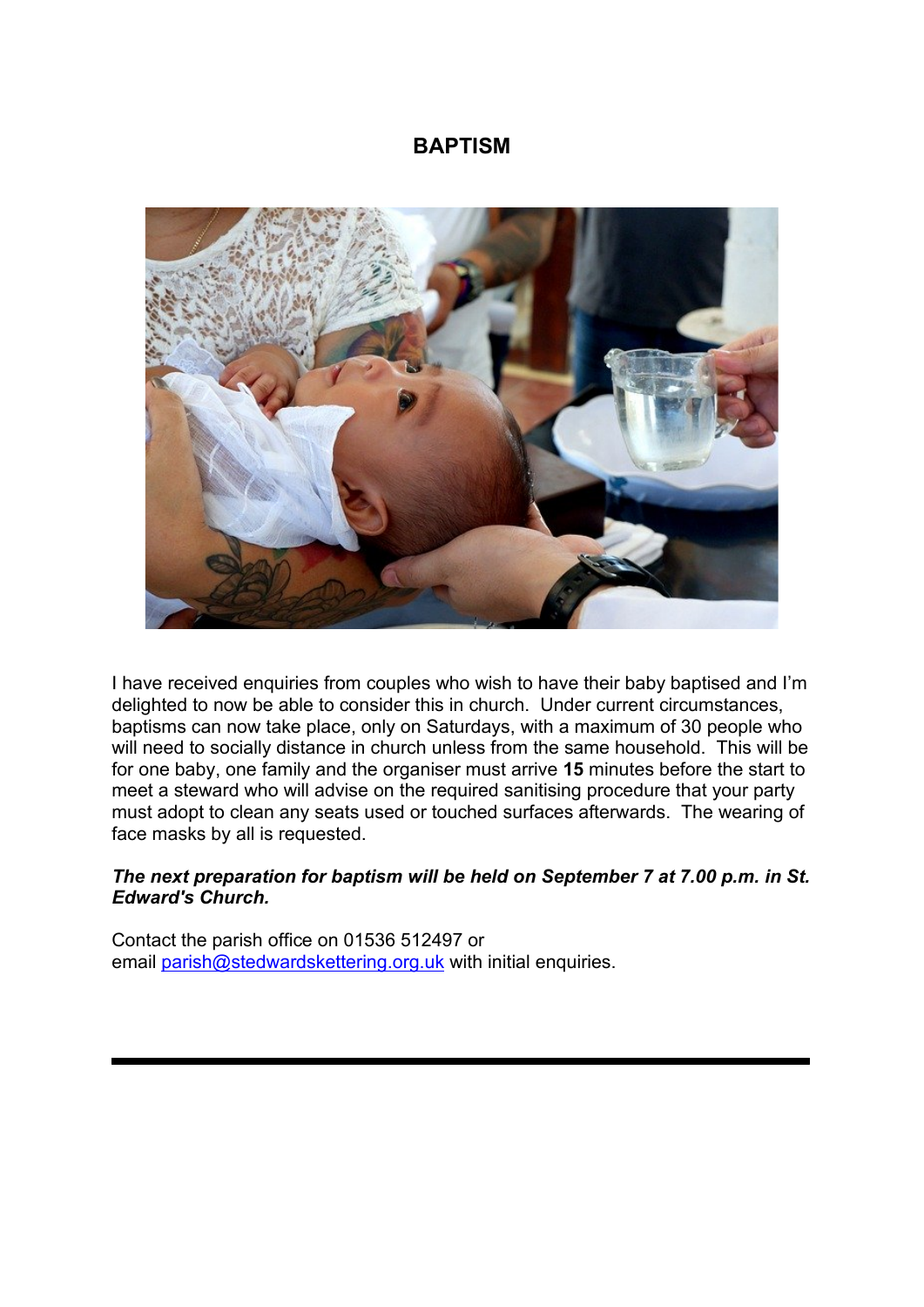## **BAPTISM**



I have received enquiries from couples who wish to have their baby baptised and I'm delighted to now be able to consider this in church. Under current circumstances, baptisms can now take place, only on Saturdays, with a maximum of 30 people who will need to socially distance in church unless from the same household. This will be for one baby, one family and the organiser must arrive **15** minutes before the start to meet a steward who will advise on the required sanitising procedure that your party must adopt to clean any seats used or touched surfaces afterwards. The wearing of face masks by all is requested.

### *The next preparation for baptism will be held on September 7 at 7.00 p.m. in St. Edward's Church.*

Contact the parish office on 01536 512497 or email [parish@stedwardskettering.org.uk](mailto:parish@stedwardskettering.org.uk) with initial enquiries.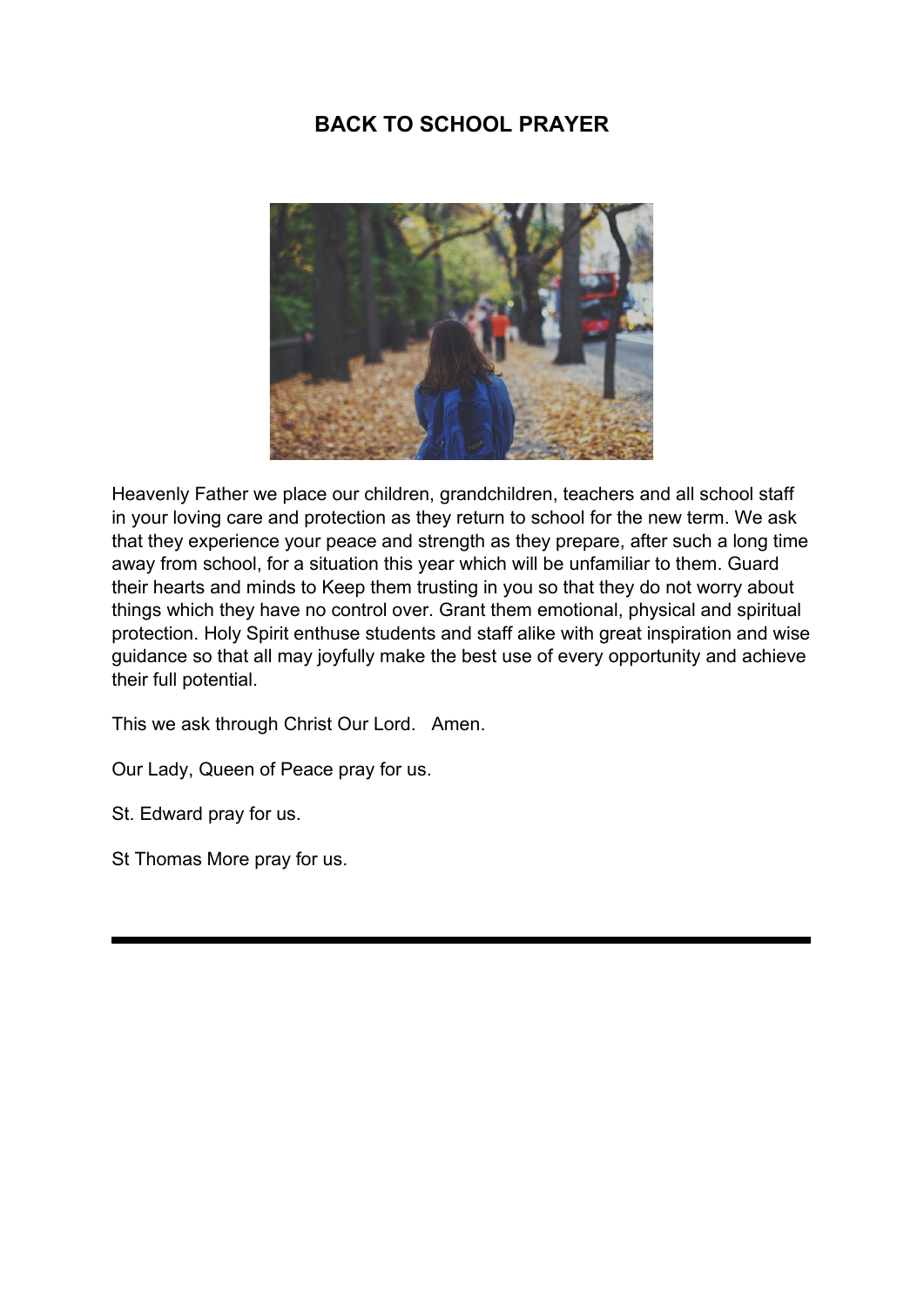# **BACK TO SCHOOL PRAYER**



Heavenly Father we place our children, grandchildren, teachers and all school staff in your loving care and protection as they return to school for the new term. We ask that they experience your peace and strength as they prepare, after such a long time away from school, for a situation this year which will be unfamiliar to them. Guard their hearts and minds to Keep them trusting in you so that they do not worry about things which they have no control over. Grant them emotional, physical and spiritual protection. Holy Spirit enthuse students and staff alike with great inspiration and wise guidance so that all may joyfully make the best use of every opportunity and achieve their full potential.

This we ask through Christ Our Lord. Amen.

Our Lady, Queen of Peace pray for us.

St. Edward pray for us.

St Thomas More pray for us.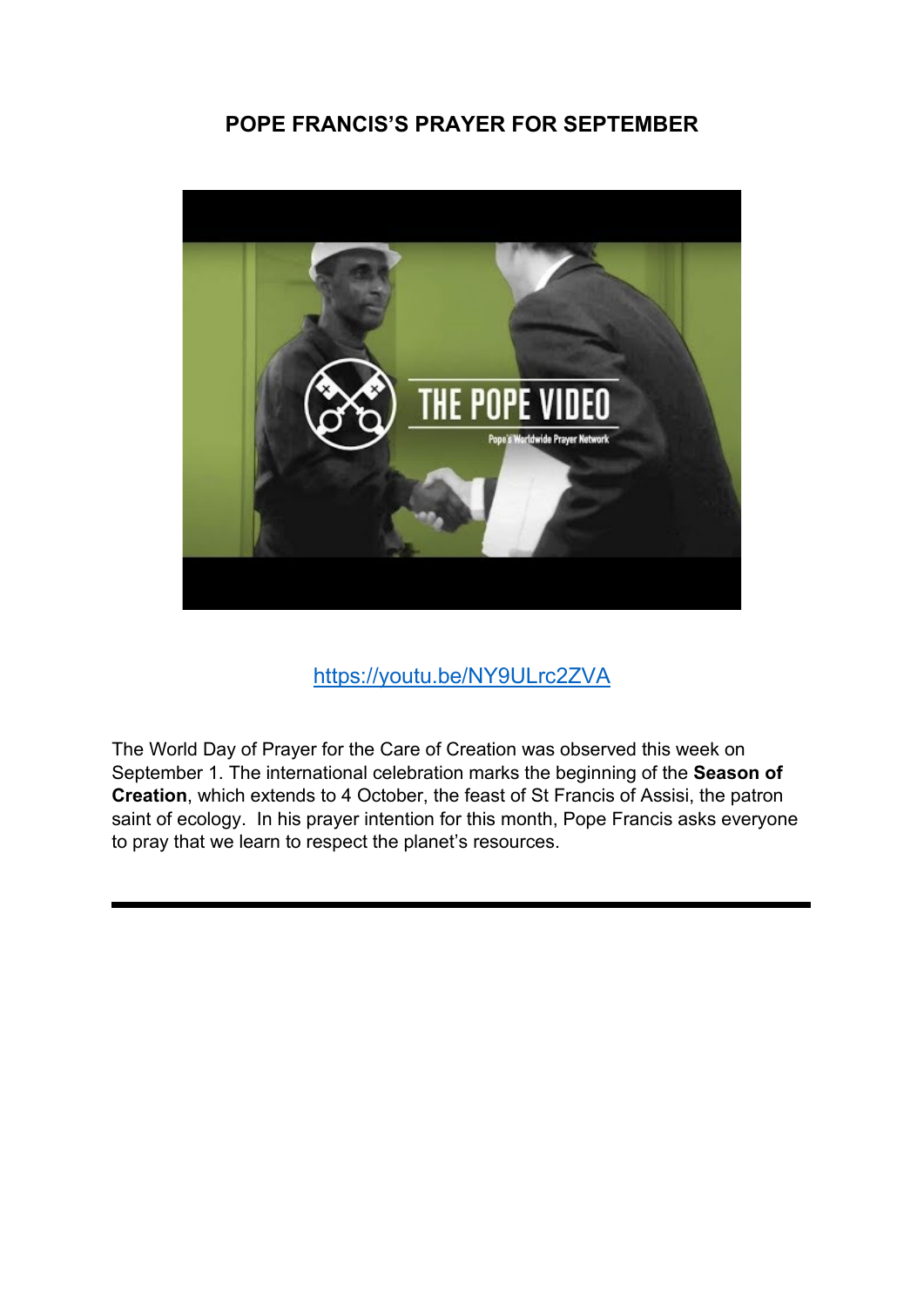## **POPE FRANCIS'S PRAYER FOR SEPTEMBER**



<https://youtu.be/NY9ULrc2ZVA>

The World Day of Prayer for the Care of Creation was observed this week on September 1. The international celebration marks the beginning of the **Season of Creation**, which extends to 4 October, the feast of St Francis of Assisi, the patron saint of ecology. In his prayer intention for this month, Pope Francis asks everyone to pray that we learn to respect the planet's resources.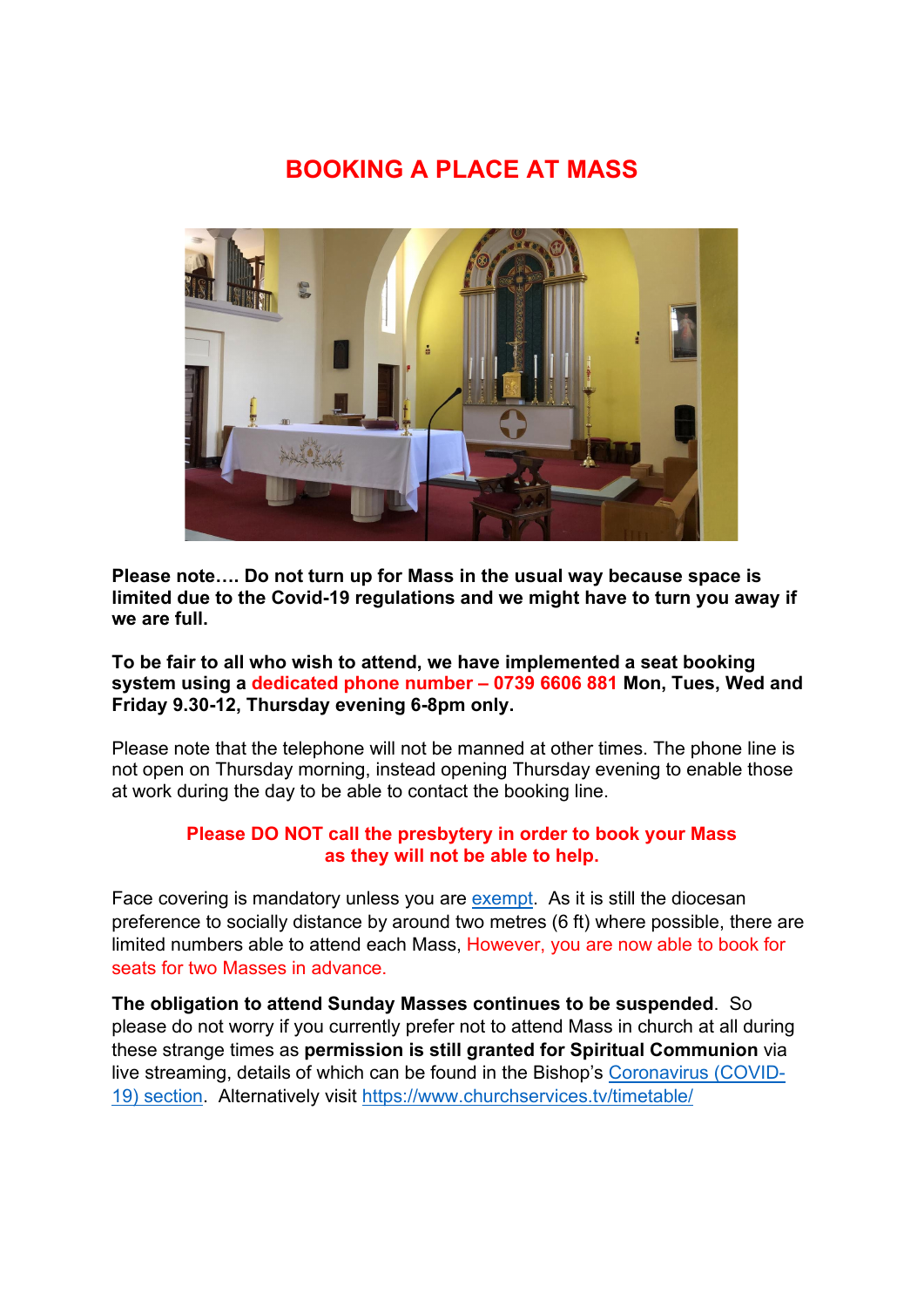# **BOOKING A PLACE AT MASS**



**Please note…. Do not turn up for Mass in the usual way because space is limited due to the Covid-19 regulations and we might have to turn you away if we are full.** 

### **To be fair to all who wish to attend, we have implemented a seat booking system using a dedicated phone number – 0739 6606 881 Mon, Tues, Wed and Friday 9.30-12, Thursday evening 6-8pm only.**

Please note that the telephone will not be manned at other times. The phone line is not open on Thursday morning, instead opening Thursday evening to enable those at work during the day to be able to contact the booking line.

### **Please DO NOT call the presbytery in order to book your Mass as they will not be able to help.**

Face covering is mandatory unless you are [exempt.](https://www.gov.uk/government/publications/face-coverings-when-to-wear-one-and-how-to-make-your-own/face-coverings-when-to-wear-one-and-how-to-make-your-own#when-you-do-not-need-to-wear-a-face-covering) As it is still the diocesan preference to socially distance by around two metres (6 ft) where possible, there are limited numbers able to attend each Mass, However, you are now able to book for seats for two Masses in advance.

**The obligation to attend Sunday Masses continues to be suspended**. So please do not worry if you currently prefer not to attend Mass in church at all during these strange times as **permission is still granted for Spiritual Communion** via live streaming, details of which can be found in the Bishop's [Coronavirus \(COVID-](https://www.cbcew.org.uk/home/our-work/health-social-care/coronavirus-guidelines/)[19\) section.](https://www.cbcew.org.uk/home/our-work/health-social-care/coronavirus-guidelines/) Alternatively visit<https://www.churchservices.tv/timetable/>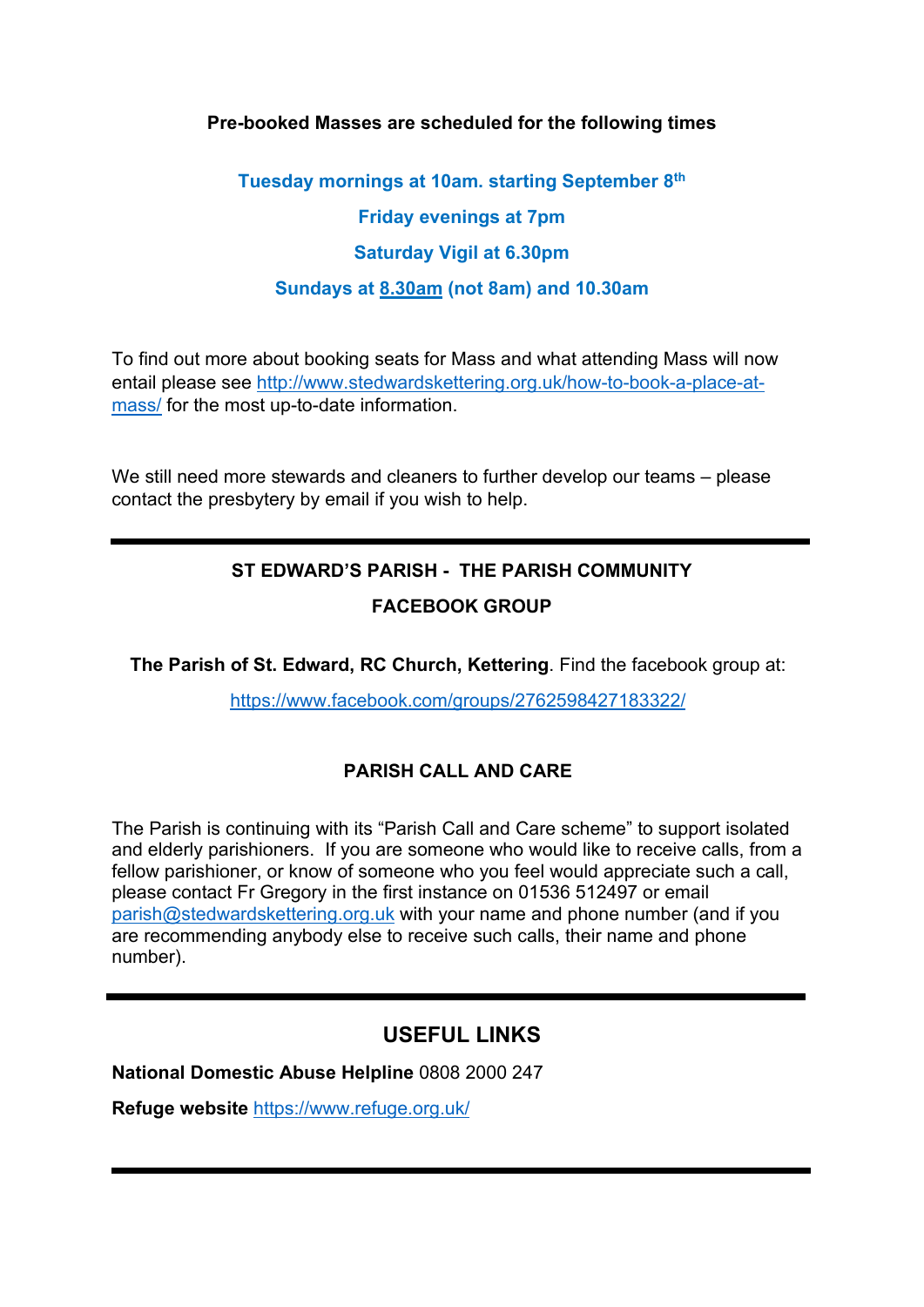### **Pre-booked Masses are scheduled for the following times**

**Tuesday mornings at 10am. starting September 8th Friday evenings at 7pm Saturday Vigil at 6.30pm Sundays at 8.30am (not 8am) and 10.30am**

To find out more about booking seats for Mass and what attending Mass will now entail please see [http://www.stedwardskettering.org.uk/how-to-book-a-place-at](http://www.stedwardskettering.org.uk/how-to-book-a-place-at-mass/)[mass/](http://www.stedwardskettering.org.uk/how-to-book-a-place-at-mass/) for the most up-to-date information.

We still need more stewards and cleaners to further develop our teams – please contact the presbytery by email if you wish to help.

# **ST EDWARD'S PARISH - THE PARISH COMMUNITY FACEBOOK GROUP**

**The Parish of St. Edward, RC Church, Kettering**. Find the facebook group at:

<https://www.facebook.com/groups/2762598427183322/>

## **PARISH CALL AND CARE**

The Parish is continuing with its "Parish Call and Care scheme" to support isolated and elderly parishioners. If you are someone who would like to receive calls, from a fellow parishioner, or know of someone who you feel would appreciate such a call, please contact Fr Gregory in the first instance on 01536 512497 or email [parish@stedwardskettering.org.uk](mailto:parish@stedwardskettering.org.uk) with your name and phone number (and if you are recommending anybody else to receive such calls, their name and phone number).

## **USEFUL LINKS**

**National Domestic Abuse Helpline** 0808 2000 247

**Refuge website** <https://www.refuge.org.uk/>